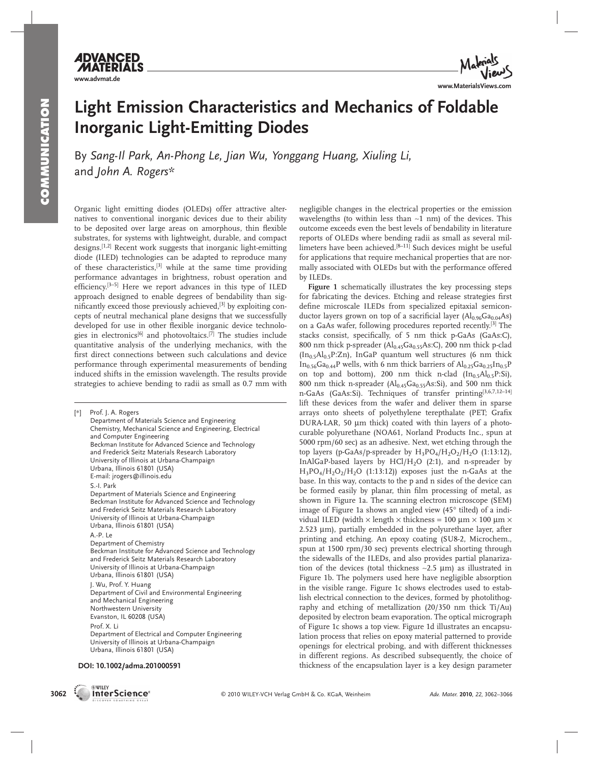

## **Light Emission Characteristics and Mechanics of Foldable Inorganic Light-Emitting Diodes**

By Sang-Il Park, An-Phong Le, Jian Wu, Yonggang Huang, Xiuling Li, and *John A. Rogers \** 

 Organic light emitting diodes (OLEDs) offer attractive alternatives to conventional inorganic devices due to their ability to be deposited over large areas on amorphous, thin flexible substrates, for systems with lightweight, durable, and compact designs.<sup>[1,2]</sup> Recent work suggests that inorganic light-emitting diode (ILED) technologies can be adapted to reproduce many of these characteristics,<sup>[3]</sup> while at the same time providing performance advantages in brightness, robust operation and efficiency.<sup>[3-5]</sup> Here we report advances in this type of ILED approach designed to enable degrees of bendability than significantly exceed those previously achieved,<sup>[3]</sup> by exploiting concepts of neutral mechanical plane designs that we successfully developed for use in other flexible inorganic device technologies in electronics<sup>[6]</sup> and photovoltaics.<sup>[7]</sup> The studies include quantitative analysis of the underlying mechanics, with the first direct connections between such calculations and device performance through experimental measurements of bending induced shifts in the emission wavelength. The results provide strategies to achieve bending to radii as small as 0.7 mm with

[∗] Prof. J. A. Rogers Department of Materials Science and Engineering Chemistry, Mechanical Science and Engineering, Electrical and Computer Engineering Beckman Institute for Advanced Science and Technology and Frederick Seitz Materials Research Laboratory University of Illinois at Urbana-Champaign Urbana, Illinois 61801 (USA) E-mail: jrogers@illinois.edu S.-I. Park Department of Materials Science and Engineering Beckman Institute for Advanced Science and Technology and Frederick Seitz Materials Research Laboratory University of Illinois at Urbana-Champaign Urbana, Illinois 61801 (USA) A.-P. Le Department of Chemistry Beckman Institute for Advanced Science and Technology and Frederick Seitz Materials Research Laboratory University of Illinois at Urbana-Champaign Urbana, Illinois 61801 (USA) J. Wu, Prof. Y. Huang Department of Civil and Environmental Engineering and Mechanical Engineering Northwestern University Evanston, IL 60208 (USA) Prof. X. Li Department of Electrical and Computer Engineering University of Illinois at Urbana-Champaign Urbana, Illinois 61801 (USA)

#### **DOI: 10.1002/adma.201000591**

**EXVILEY** 

negligible changes in the electrical properties or the emission wavelengths (to within less than ∼1 nm) of the devices. This outcome exceeds even the best levels of bendability in literature reports of OLEDs where bending radii as small as several millimeters have been achieved.<sup>[8-11]</sup> Such devices might be useful for applications that require mechanical properties that are normally associated with OLEDs but with the performance offered by ILEDs.

**Figure 1** schematically illustrates the key processing steps for fabricating the devices. Etching and release strategies first define microscale ILEDs from specialized epitaxial semiconductor layers grown on top of a sacrificial layer  $(Al<sub>0.96</sub> Ga<sub>0.04</sub> As)$ on a GaAs wafer, following procedures reported recently.<sup>[3]</sup> The stacks consist, specifically, of 5 nm thick p-GaAs (GaAs:C), 800 nm thick p-spreader  $(Al<sub>0.45</sub>Ga<sub>0.55</sub>As:C)$ , 200 nm thick p-clad  $(In<sub>0.5</sub>Al<sub>0.5</sub>P:Zn)$ , InGaP quantum well structures (6 nm thick In<sub>0.56</sub>Ga<sub>0.44</sub>P wells, with 6 nm thick barriers of  $\text{Al}_{0.25}$ Ga<sub>0.25</sub>In<sub>0.5</sub>P on top and bottom), 200 nm thick n-clad  $(In_{0.5}Al_{0.5}P:Si)$ , 800 nm thick n-spreader  $(Al_{0.45}Ga_{0.55}As:Si)$ , and 500 nm thick n-GaAs (GaAs:Si). Techniques of transfer printing<sup>[3,6,7,12-14]</sup> lift these devices from the wafer and deliver them in sparse arrays onto sheets of polyethylene terepthalate (PET; Grafix DURA-LAR, 50 μm thick) coated with thin layers of a photocurable polyurethane (NOA61, Norland Products Inc., spun at 5000 rpm/60 sec) as an adhesive. Next, wet etching through the top layers (p-GaAs/p-spreader by  $H_3PO_4/H_2O_2/H_2O$  (1:13:12), InAlGaP-based layers by  $HC1/H<sub>2</sub>O$  (2:1), and n-spreader by  $H_3PO_4/H_2O_2/H_2O$  (1:13:12)) exposes just the n-GaAs at the base. In this way, contacts to the p and n sides of the device can be formed easily by planar, thin film processing of metal, as shown in Figure 1a. The scanning electron microscope (SEM) image of Figure 1a shows an angled view (45° tilted) of a individual ILED (width  $\times$  length  $\times$  thickness = 100 µm  $\times$  100 µm  $\times$ 2.523 μm), partially embedded in the polyurethane layer, after printing and etching. An epoxy coating (SU8-2, Microchem., spun at 1500 rpm/30 sec) prevents electrical shorting through the sidewalls of the ILEDs, and also provides partial planarization of the devices (total thickness ∼2.5 μm) as illustrated in Figure 1b. The polymers used here have negligible absorption in the visible range. Figure 1c shows electrodes used to establish electrical connection to the devices, formed by photolithography and etching of metallization (20/350 nm thick Ti/Au) deposited by electron beam evaporation. The optical micrograph of Figure 1c shows a top view. Figure 1d illustrates an encapsulation process that relies on epoxy material patterned to provide openings for electrical probing, and with different thicknesses in different regions. As described subsequently, the choice of thickness of the encapsulation layer is a key design parameter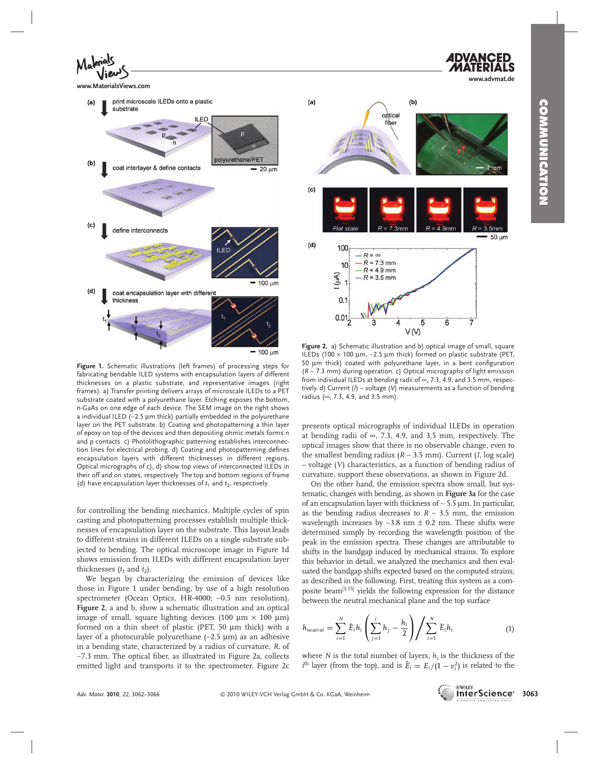**www.advmat.de**



**www.MaterialsViews.com**



 **Figure 1.** Schematic illustrations (left frames) of processing steps for fabricating bendable ILED systems with encapsulation layers of different thicknesses on a plastic substrate, and representative images (right frames). a) Transfer printing delivers arrays of microscale ILEDs to a PET substrate coated with a polyurethane layer. Etching exposes the bottom, n-GaAs on one edge of each device. The SEM image on the right shows a individual ILED (∼2.5 μm thick) partially embedded in the polyurethane layer on the PET substrate. b) Coating and photopatterning a thin layer of epoxy on top of the devices and then depositing ohmic metals forms n and p contacts. c) Photolithographic patterning establishes interconnection lines for electrical probing. d) Coating and photopatterning defines encapsulation layers with different thicknesses in different regions. Optical micrographs of c), d) show top views of interconnected ILEDs in their off and on states, respectively. The top and bottom regions of frame (d) have encapsulation layer thicknesses of  $t_1$  and  $t_2$ , respectively.

for controlling the bending mechanics. Multiple cycles of spin casting and photopatterning processes establish multiple thicknesses of encapsulation layer on the substrate. This layout leads to different strains in different ILEDs on a single substrate subjected to bending. The optical microscope image in Figure 1d shows emission from ILEDs with different encapsulation layer thicknesses  $(t_1$  and  $t_2$ ).

 We began by characterizing the emission of devices like those in Figure 1 under bending, by use of a high resolution spectrometer (Ocean Optics, HR-4000; ∼0.5 nm resolution). Figure 2, a and b, show a schematic illustration and an optical image of small, square lighting devices (100  $\mu$ m × 100  $\mu$ m) formed on a thin sheet of plastic (PET, 50 μm thick) with a layer of a photocurable polyurethane (∼2.5 μm) as an adhesive in a bending state, characterized by a radius of curvature, *R*, of ∼7.3 mm. The optical fiber, as illustrated in Figure 2a, collects emitted light and transports it to the spectrometer. Figure 2c



 **Figure 2.** a) Schematic illustration and b) optical image of small, square ILEDs (100 × 100 μm, ∼2.5 μm thick) formed on plastic substrate (PET, 50 μm thick) coated with polyurethane layer, in a bent configuration ( *R* ∼ 7.3 mm) during operation. c) Optical micrographs of light emission from individual ILEDs at bending radii of ∞, 7.3, 4.9, and 3.5 mm, respectively. d) Current (*I*) – voltage (*V*) measurements as a function of bending radius (∞, 7.3, 4.9, and 3.5 mm).

presents optical micrographs of individual ILEDs in operation at bending radii of  $\infty$ , 7.3, 4.9, and 3.5 mm, respectively. The optical images show that there is no observable change, even to the smallest bending radius ( $R \sim 3.5$  mm). Current (*I*, log scale) – voltage ( *V* ) characteristics, as a function of bending radius of curvature, support these observations, as shown in Figure 2d .

 On the other hand, the emission spectra show small, but systematic, changes with bending, as shown in **Figure 3a** for the case of an encapsulation layer with thickness of ∼ 5.5 μm. In particular, as the bending radius decreases to *R* ∼ 3.5 mm, the emission wavelength increases by ∼3.8 nm ± 0.2 nm. These shifts were determined simply by recording the wavelength position of the peak in the emission spectra. These changes are attributable to shifts in the bandgap induced by mechanical strains. To explore this behavior in detail, we analyzed the mechanics and then evaluated the bandgap shifts expected based on the computed strains, as described in the following. First, treating this system as a composite beam<sup>[3,15]</sup> yields the following expression for the distance between the neutral mechanical plane and the top surface

$$
h_{neutral} = \sum_{i=1}^{N} \bar{E}_{i} h_{i} \left( \sum_{j=1}^{i} h_{j} - \frac{h_{i}}{2} \right) \Bigg/ \sum_{i=1}^{N} \bar{E}_{i} h_{i} \tag{1}
$$

where *N* is the total number of layers,  $h_i$  is the thickness of the  $i$ <sup>th</sup> layer (from the top), and is  $\bar{E}_i = E_i/(1 - v_i^2)$  is related to the

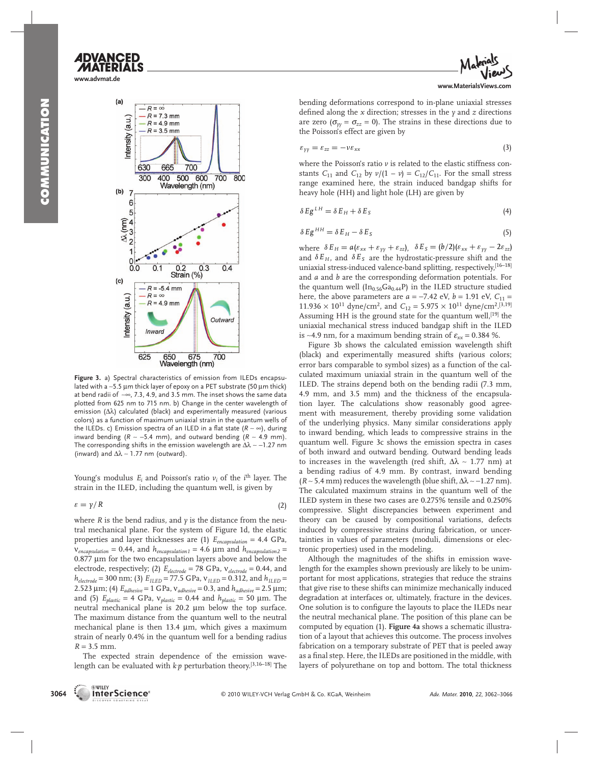# **ADVANCED**

**www.advmat.de**



 **Figure 3.** a) Spectral characteristics of emission from ILEDs encapsulated with a ∼5.5 μm thick layer of epoxy on a PET substrate (50 μm thick) at bend radii of ∼∞, 7.3, 4.9, and 3.5 mm. The inset shows the same data plotted from 625 nm to 715 nm. b) Change in the center wavelength of emission (Δλ) calculated (black) and experimentally measured (various colors) as a function of maximum uniaxial strain in the quantum wells of the ILEDs. c) Emission spectra of an ILED in a flat state ( $R \sim ∞$ ), during inward bending ( $R \sim -5.4$  mm), and outward bending ( $R \sim 4.9$  mm). The corresponding shifts in the emission wavelength are  $\Delta\lambda \sim -1.27$  nm (inward) and  $\Delta\lambda \sim 1.77$  nm (outward).

Young's modulus  $E_i$  and Poisson's ratio  $v_i$  of the  $i^{\text{th}}$  layer. The strain in the ILED, including the quantum well, is given by

$$
\varepsilon = \gamma / R \tag{2}
$$

where  *is the bend radius, and*  $*y*$  *is the distance from the neu*tral mechanical plane. For the system of Figure 1d, the elastic properties and layer thicknesses are (1)  $E_{encapsulation} = 4.4 \text{ GPa}$ ,  $v_{encapsulation} = 0.44$ , and  $h_{encapsulation1} = 4.6 \mu m$  and  $h_{encapsulation2} =$ 0.877 μm for the two encapsulation layers above and below the electrode, respectively; (2) *E electrode* = 78 GPa, ν*electrode* = 0.44, and  $h_{electrode} = 300$  nm; (3)  $E_{ILED} = 77.5$  GPa,  $v_{ILED} = 0.312$ , and  $h_{ILED} =$ 2.523 μm; (4)  $E_{adhesive} = 1$  GPa,  $v_{adhesive} = 0.3$ , and  $h_{adhesive} = 2.5$  μm; and (5)  $E_{plastic} = 4 \text{ GPa}$ ,  $v_{plastic} = 0.44$  and  $h_{plastic} = 50 \text{ }\mu\text{m}$ . The neutral mechanical plane is 20.2 μm below the top surface. The maximum distance from the quantum well to the neutral mechanical plane is then 13.4 μm, which gives a maximum strain of nearly 0.4% in the quantum well for a bending radius  $R = 3.5$  mm.

 The expected strain dependence of the emission wavelength can be evaluated with  $kp$  perturbation theory.<sup>[3,16–18]</sup> The



bending deformations correspond to in-plane uniaxial stresses defined along the  $x$  direction; stresses in the  $y$  and  $z$  directions are zero ( $\sigma_{yy} = \sigma_{zz} = 0$ ). The strains in these directions due to the Poisson's effect are given by

$$
\varepsilon_{\gamma\gamma} = \varepsilon_{zz} = -\nu \varepsilon_{xx} \tag{3}
$$

where the Poisson's ratio  $\nu$  is related to the elastic stiffness constants  $C_{11}$  and  $C_{12}$  by  $v/(1 - v) = C_{12}/C_{11}$ . For the small stress range examined here, the strain induced bandgap shifts for heavy hole (HH) and light hole (LH) are given by

$$
\delta E g^{LH} = \delta E_H + \delta E_S \tag{4}
$$

$$
\delta E g^{HH} = \delta E_H - \delta E_S \tag{5}
$$

where  $\delta E_H = a(\varepsilon_{xx} + \varepsilon_{yy} + \varepsilon_{zz}), \, \delta E_S = (b/2)(\varepsilon_{xx} + \varepsilon_{yy} - 2\varepsilon_{zz})$ and  $\delta E_H$ , and  $\delta E_S$  are the hydrostatic-pressure shift and the uniaxial stress-induced valence-band splitting, respectively, [16-18] and *a* and *b* are the corresponding deformation potentials. For the quantum well  $(In<sub>0.56</sub>Ga<sub>0.44</sub>P)$  in the ILED structure studied here, the above parameters are  $a = -7.42$  eV,  $b = 1.91$  eV,  $C_{11} =$  $11.936 \times 10^{11}$  dyne/cm<sup>2</sup>, and  $C_{12} = 5.975 \times 10^{11}$  dyne/cm<sup>2</sup>.<sup>[3,19]</sup> Assuming HH is the ground state for the quantum well,<sup>[19]</sup> the uniaxial mechanical stress induced bandgap shift in the ILED is ~4.9 nm, for a maximum bending strain of  $\varepsilon_{xx}$  = 0.384 %.

 Figure 3b shows the calculated emission wavelength shift (black) and experimentally measured shifts (various colors; error bars comparable to symbol sizes) as a function of the calculated maximum uniaxial strain in the quantum well of the ILED. The strains depend both on the bending radii (7.3 mm, 4.9 mm, and 3.5 mm) and the thickness of the encapsulation layer. The calculations show reasonably good agreement with measurement, thereby providing some validation of the underlying physics. Many similar considerations apply to inward bending, which leads to compressive strains in the quantum well. Figure 3c shows the emission spectra in cases of both inward and outward bending. Outward bending leads to increases in the wavelength (red shift,  $\Delta\lambda \sim 1.77$  nm) at a bending radius of 4.9 mm. By contrast, inward bending  $(R \sim 5.4 \text{ mm})$  reduces the wavelength (blue shift,  $\Delta \lambda \sim -1.27 \text{ nm}$ ). The calculated maximum strains in the quantum well of the ILED system in these two cases are 0.275% tensile and 0.250% compressive. Slight discrepancies between experiment and theory can be caused by compositional variations, defects induced by compressive strains during fabrication, or uncertainties in values of parameters (moduli, dimensions or electronic properties) used in the modeling.

 Although the magnitudes of the shifts in emission wavelength for the examples shown previously are likely to be unimportant for most applications, strategies that reduce the strains that give rise to these shifts can minimize mechanically induced degradation at interfaces or, ultimately, fracture in the devices. One solution is to configure the layouts to place the ILEDs near the neutral mechanical plane. The position of this plane can be computed by equation (1). Figure 4a shows a schematic illustration of a layout that achieves this outcome. The process involves fabrication on a temporary substrate of PET that is peeled away as a final step. Here, the ILEDs are positioned in the middle, with layers of polyurethane on top and bottom. The total thickness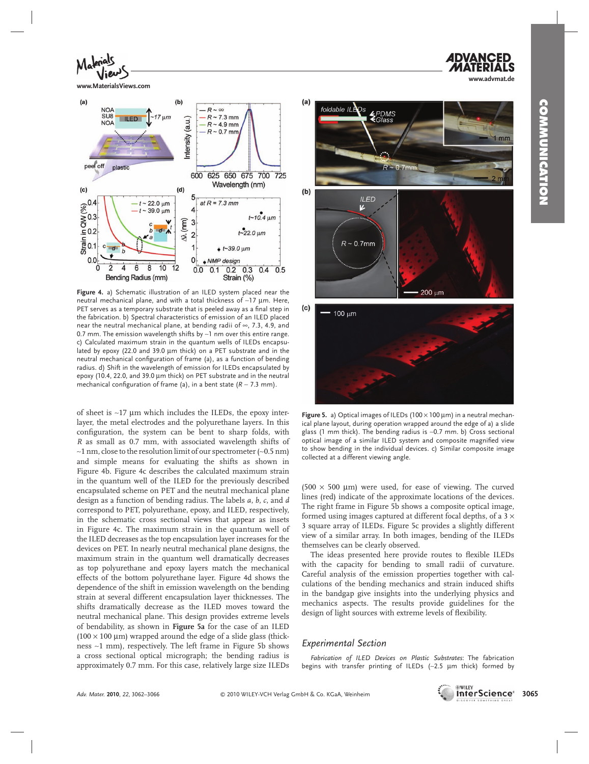**www.advmat.de**



**www.MaterialsViews.com**



 **Figure 4.** a) Schematic illustration of an ILED system placed near the neutral mechanical plane, and with a total thickness of ∼17 μm. Here, PET serves as a temporary substrate that is peeled away as a final step in the fabrication. b) Spectral characteristics of emission of an ILED placed near the neutral mechanical plane, at bending radii of ∞, 7.3, 4.9, and 0.7 mm. The emission wavelength shifts by ∼1 nm over this entire range. c) Calculated maximum strain in the quantum wells of ILEDs encapsulated by epoxy (22.0 and 39.0 μm thick) on a PET substrate and in the neutral mechanical configuration of frame (a), as a function of bending radius. d) Shift in the wavelength of emission for ILEDs encapsulated by epoxy (10.4, 22.0, and 39.0 μm thick) on PET substrate and in the neutral mechanical configuration of frame (a), in a bent state ( $R \sim 7.3$  mm).

of sheet is ∼17 μm which includes the ILEDs, the epoxy interlayer, the metal electrodes and the polyurethane layers. In this configuration, the system can be bent to sharp folds, with *R* as small as 0.7 mm, with associated wavelength shifts of ∼1 nm, close to the resolution limit of our spectrometer (∼0.5 nm) and simple means for evaluating the shifts as shown in Figure 4b. Figure 4c describes the calculated maximum strain in the quantum well of the ILED for the previously described encapsulated scheme on PET and the neutral mechanical plane design as a function of bending radius. The labels *a*, *b*, *c*, and *d* correspond to PET, polyurethane, epoxy, and ILED, respectively, in the schematic cross sectional views that appear as insets in Figure 4c . The maximum strain in the quantum well of the ILED decreases as the top encapsulation layer increases for the devices on PET. In nearly neutral mechanical plane designs, the maximum strain in the quantum well dramatically decreases as top polyurethane and epoxy layers match the mechanical effects of the bottom polyurethane layer. Figure 4d shows the dependence of the shift in emission wavelength on the bending strain at several different encapsulation layer thicknesses. The shifts dramatically decrease as the ILED moves toward the neutral mechanical plane. This design provides extreme levels of bendability, as shown in **Figure 5a** for the case of an ILED  $(100 \times 100 \mu m)$  wrapped around the edge of a slide glass (thickness ∼1 mm), respectively. The left frame in Figure 5b shows a cross sectional optical micrograph; the bending radius is approximately 0.7 mm. For this case, relatively large size ILEDs



**Figure 5.** a) Optical images of ILEDs (100 × 100 μm) in a neutral mechanical plane layout, during operation wrapped around the edge of a) a slide glass (1 mm thick). The bending radius is ∼0.7 mm. b) Cross sectional optical image of a similar ILED system and composite magnified view to show bending in the individual devices. c) Similar composite image collected at a different viewing angle.

 $(500 \times 500 \mu m)$  were used, for ease of viewing. The curved lines (red) indicate of the approximate locations of the devices. The right frame in Figure 5b shows a composite optical image, formed using images captured at different focal depths, of a  $3 \times$ 3 square array of ILEDs. Figure 5c provides a slightly different view of a similar array. In both images, bending of the ILEDs themselves can be clearly observed.

The ideas presented here provide routes to flexible ILEDs with the capacity for bending to small radii of curvature. Careful analysis of the emission properties together with calculations of the bending mechanics and strain induced shifts in the bandgap give insights into the underlying physics and mechanics aspects. The results provide guidelines for the design of light sources with extreme levels of flexibility.

#### *Experimental Section*

*Fabrication of ILED Devices on Plastic Substrates* : The fabrication begins with transfer printing of ILEDs (∼2.5 μm thick) formed by